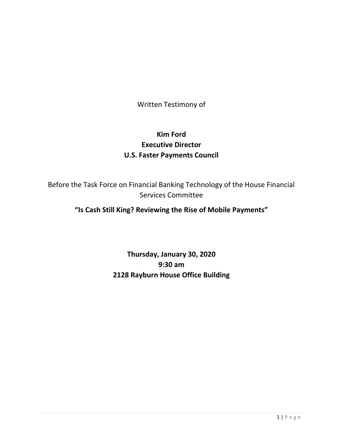Written Testimony of

## **Kim Ford Executive Director U.S. Faster Payments Council**

Before the Task Force on Financial Banking Technology of the House Financial Services Committee

## **"Is Cash Still King? Reviewing the Rise of Mobile Payments"**

# **Thursday, January 30, 2020 9:30 am 2128 Rayburn House Office Building**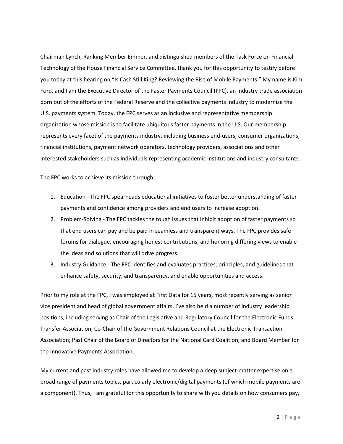Chairman Lynch, Ranking Member Emmer, and distinguished members of the Task Force on Financial Technology of the House Financial Service Committee, thank you for this opportunity to testify before you today at this hearing on "Is Cash Still King? Reviewing the Rise of Mobile Payments." My name is Kim Ford, and I am the Executive Director of the Faster Payments Council (FPC), an industry trade association born out of the efforts of the Federal Reserve and the collective payments industry to modernize the U.S. payments system. Today, the FPC serves as an inclusive and representative membership organization whose mission is to facilitate ubiquitous faster payments in the U.S. Our membership represents every facet of the payments industry, including business end-users, consumer organizations, financial institutions, payment network operators, technology providers, associations and other interested stakeholders such as individuals representing academic institutions and industry consultants.

The FPC works to achieve its mission through:

- 1. Education The FPC spearheads educational initiatives to foster better understanding of faster payments and confidence among providers and end users to increase adoption.
- 2. Problem-Solving The FPC tackles the tough issues that inhibit adoption of faster payments so that end users can pay and be paid in seamless and transparent ways. The FPC provides safe forums for dialogue, encouraging honest contributions, and honoring differing views to enable the ideas and solutions that will drive progress.
- 3. Industry Guidance The FPC identifies and evaluates practices, principles, and guidelines that enhance safety, security, and transparency, and enable opportunities and access.

Prior to my role at the FPC, I was employed at First Data for 15 years, most recently serving as senior vice president and head of global government affairs. I've also held a number of industry leadership positions, including serving as Chair of the Legislative and Regulatory Council for the Electronic Funds Transfer Association; Co-Chair of the Government Relations Council at the Electronic Transaction Association; Past Chair of the Board of Directors for the National Card Coalition; and Board Member for the Innovative Payments Association.

My current and past industry roles have allowed me to develop a deep subject-matter expertise on a broad range of payments topics, particularly electronic/digital payments (of which mobile payments are a component). Thus, I am grateful for this opportunity to share with you details on how consumers pay,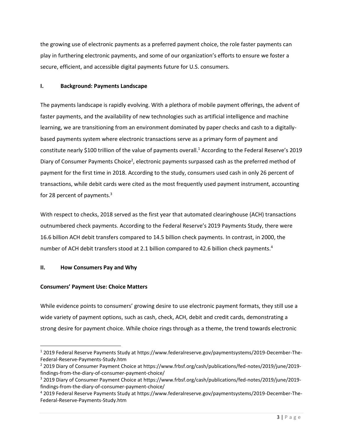the growing use of electronic payments as a preferred payment choice, the role faster payments can play in furthering electronic payments, and some of our organization's efforts to ensure we foster a secure, efficient, and accessible digital payments future for U.S. consumers.

#### **I. Background: Payments Landscape**

The payments landscape is rapidly evolving. With a plethora of mobile payment offerings, the advent of faster payments, and the availability of new technologies such as artificial intelligence and machine learning, we are transitioning from an environment dominated by paper checks and cash to a digitallybased payments system where electronic transactions serve as a primary form of payment and constitute nearly \$100 trillion of the value of payments overall.<sup>1</sup> According to the Federal Reserve's 2019 Diary of Consumer Payments Choice<sup>2</sup>, electronic payments surpassed cash as the preferred method of payment for the first time in 2018. According to the study, consumers used cash in only 26 percent of transactions, while debit cards were cited as the most frequently used payment instrument, accounting for 28 percent of payments. $3$ 

With respect to checks, 2018 served as the first year that automated clearinghouse (ACH) transactions outnumbered check payments. According to the Federal Reserve's 2019 Payments Study, there were 16.6 billion ACH debit transfers compared to 14.5 billion check payments. In contrast, in 2000, the number of ACH debit transfers stood at 2.1 billion compared to 42.6 billion check payments.<sup>4</sup>

## **II. How Consumers Pay and Why**

## **Consumers' Payment Use: Choice Matters**

While evidence points to consumers' growing desire to use electronic payment formats, they still use a wide variety of payment options, such as cash, check, ACH, debit and credit cards, demonstrating a strong desire for payment choice. While choice rings through as a theme, the trend towards electronic

<sup>1</sup> 2019 Federal Reserve Payments Study at https://www.federalreserve.gov/paymentsystems/2019-December-The-Federal-Reserve-Payments-Study.htm

<sup>2</sup> 2019 Diary of Consumer Payment Choice at https://www.frbsf.org/cash/publications/fed-notes/2019/june/2019 findings-from-the-diary-of-consumer-payment-choice/

<sup>3</sup> 2019 Diary of Consumer Payment Choice at https://www.frbsf.org/cash/publications/fed-notes/2019/june/2019 findings-from-the-diary-of-consumer-payment-choice/

<sup>4</sup> 2019 Federal Reserve Payments Study at https://www.federalreserve.gov/paymentsystems/2019-December-The-Federal-Reserve-Payments-Study.htm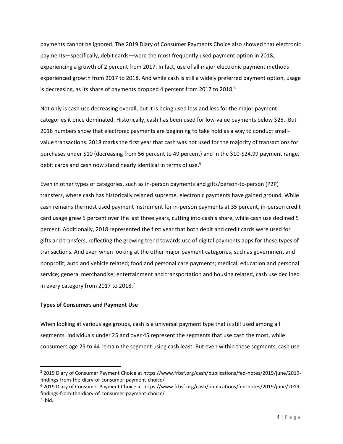payments cannot be ignored. The 2019 Diary of Consumer Payments Choice also showed that electronic payments—specifically, debit cards—were the most frequently used payment option in 2018, experiencing a growth of 2 percent from 2017. In fact, use of all major electronic payment methods experienced growth from 2017 to 2018. And while cash is still a widely preferred payment option, usage is decreasing, as its share of payments dropped 4 percent from 2017 to 2018.<sup>5</sup>

Not only is cash use decreasing overall, but it is being used less and less for the major payment categories it once dominated. Historically, cash has been used for low-value payments below \$25. But 2018 numbers show that electronic payments are beginning to take hold as a way to conduct smallvalue transactions. 2018 marks the first year that cash was not used for the majority of transactions for purchases under \$10 (decreasing from 56 percent to 49 percent) and in the \$10-\$24.99 payment range, debit cards and cash now stand nearly identical in terms of use.<sup>6</sup>

Even in other types of categories, such as in-person payments and gifts/person-to-person (P2P) transfers, where cash has historically reigned supreme, electronic payments have gained ground. While cash remains the most used payment instrument for in-person payments at 35 percent, in-person credit card usage grew 5 percent over the last three years, cutting into cash's share, while cash use declined 5 percent. Additionally, 2018 represented the first year that both debit and credit cards were used for gifts and transfers, reflecting the growing trend towards use of digital payments apps for these types of transactions. And even when looking at the other major payment categories, such as government and nonprofit; auto and vehicle related; food and personal care payments; medical, education and personal service; general merchandise; entertainment and transportation and housing related, cash use declined in every category from 2017 to 2018. $<sup>7</sup>$ </sup>

#### **Types of Consumers and Payment Use**

When looking at various age groups, cash is a universal payment type that is still used among all segments. Individuals under 25 and over 45 represent the segments that use cash the most, while consumers age 25 to 44 remain the segment using cash least. But even within these segments, cash use

<sup>5</sup> 2019 Diary of Consumer Payment Choice at https://www.frbsf.org/cash/publications/fed-notes/2019/june/2019 findings-from-the-diary-of-consumer-payment-choice/

<sup>6</sup> 2019 Diary of Consumer Payment Choice at https://www.frbsf.org/cash/publications/fed-notes/2019/june/2019 findings-from-the-diary-of-consumer-payment-choice/

<sup>7</sup> Ibid.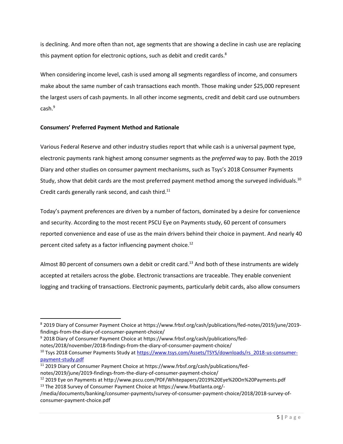is declining. And more often than not, age segments that are showing a decline in cash use are replacing this payment option for electronic options, such as debit and credit cards.<sup>8</sup>

When considering income level, cash is used among all segments regardless of income, and consumers make about the same number of cash transactions each month. Those making under \$25,000 represent the largest users of cash payments. In all other income segments, credit and debit card use outnumbers cash.<sup>9</sup>

### **Consumers' Preferred Payment Method and Rationale**

Various Federal Reserve and other industry studies report that while cash is a universal payment type, electronic payments rank highest among consumer segments as the *preferred* way to pay. Both the 2019 Diary and other studies on consumer payment mechanisms, such as Tsys's 2018 Consumer Payments Study, show that debit cards are the most preferred payment method among the surveyed individuals.<sup>10</sup> Credit cards generally rank second, and cash third.<sup>11</sup>

Today's payment preferences are driven by a number of factors, dominated by a desire for convenience and security. According to the most recent PSCU Eye on Payments study, 60 percent of consumers reported convenience and ease of use as the main drivers behind their choice in payment. And nearly 40 percent cited safety as a factor influencing payment choice.<sup>12</sup>

Almost 80 percent of consumers own a debit or credit card.<sup>13</sup> And both of these instruments are widely accepted at retailers across the globe. Electronic transactions are traceable. They enable convenient logging and tracking of transactions. Electronic payments, particularly debit cards, also allow consumers

<sup>9</sup> 2018 Diary of Consumer Payment Choice at https://www.frbsf.org/cash/publications/fednotes/2018/november/2018-findings-from-the-diary-of-consumer-payment-choice/

<sup>8</sup> 2019 Diary of Consumer Payment Choice at https://www.frbsf.org/cash/publications/fed-notes/2019/june/2019 findings-from-the-diary-of-consumer-payment-choice/

<sup>&</sup>lt;sup>10</sup> Tsys 2018 Consumer Payments Study a[t https://www.tsys.com/Assets/TSYS/downloads/rs\\_2018-us-consumer](https://www.tsys.com/Assets/TSYS/downloads/rs_2018-us-consumer-payment-study.pdf)[payment-study.pdf](https://www.tsys.com/Assets/TSYS/downloads/rs_2018-us-consumer-payment-study.pdf)

<sup>&</sup>lt;sup>11</sup> 2019 Diary of Consumer Payment Choice at https://www.frbsf.org/cash/publications/fednotes/2019/june/2019-findings-from-the-diary-of-consumer-payment-choice/

<sup>12</sup> 2019 Eye on Payments at http://www.pscu.com/PDF/Whitepapers/2019%20Eye%20On%20Payments.pdf

<sup>13</sup> The 2018 Survey of Consumer Payment Choice at https://www.frbatlanta.org/-

<sup>/</sup>media/documents/banking/consumer-payments/survey-of-consumer-payment-choice/2018/2018-survey-ofconsumer-payment-choice.pdf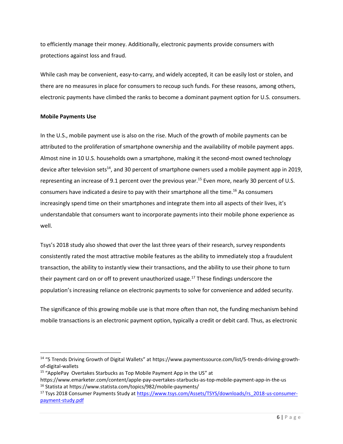to efficiently manage their money. Additionally, electronic payments provide consumers with protections against loss and fraud.

While cash may be convenient, easy-to-carry, and widely accepted, it can be easily lost or stolen, and there are no measures in place for consumers to recoup such funds. For these reasons, among others, electronic payments have climbed the ranks to become a dominant payment option for U.S. consumers.

#### **Mobile Payments Use**

In the U.S., mobile payment use is also on the rise. Much of the growth of mobile payments can be attributed to the proliferation of smartphone ownership and the availability of mobile payment apps. Almost nine in 10 U.S. households own a smartphone, making it the second-most owned technology device after television sets<sup>14</sup>, and 30 percent of smartphone owners used a mobile payment app in 2019, representing an increase of 9.1 percent over the previous year.<sup>15</sup> Even more, nearly 30 percent of U.S. consumers have indicated a desire to pay with their smartphone all the time.<sup>16</sup> As consumers increasingly spend time on their smartphones and integrate them into all aspects of their lives, it's understandable that consumers want to incorporate payments into their mobile phone experience as well.

Tsys's 2018 study also showed that over the last three years of their research, survey respondents consistently rated the most attractive mobile features as the ability to immediately stop a fraudulent transaction, the ability to instantly view their transactions, and the ability to use their phone to turn their payment card on or off to prevent unauthorized usage. <sup>17</sup> These findings underscore the population's increasing reliance on electronic payments to solve for convenience and added security.

The significance of this growing mobile use is that more often than not, the funding mechanism behind mobile transactions is an electronic payment option, typically a credit or debit card. Thus, as electronic

<sup>14</sup> "5 Trends Driving Growth of Digital Wallets" at https://www.paymentssource.com/list/5-trends-driving-growthof-digital-wallets

<sup>&</sup>lt;sup>15</sup> "ApplePay Overtakes Starbucks as Top Mobile Payment App in the US" at

https://www.emarketer.com/content/apple-pay-overtakes-starbucks-as-top-mobile-payment-app-in-the-us <sup>16</sup> Statista at https://www.statista.com/topics/982/mobile-payments/

<sup>&</sup>lt;sup>17</sup> Tsys 2018 Consumer Payments Study a[t https://www.tsys.com/Assets/TSYS/downloads/rs\\_2018-us-consumer](https://www.tsys.com/Assets/TSYS/downloads/rs_2018-us-consumer-payment-study.pdf)[payment-study.pdf](https://www.tsys.com/Assets/TSYS/downloads/rs_2018-us-consumer-payment-study.pdf)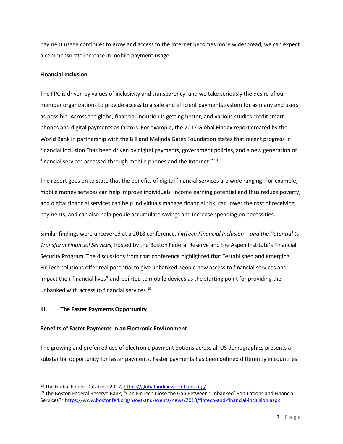payment usage continues to grow and access to the Internet becomes more widespread, we can expect a commensurate increase in mobile payment usage.

#### **Financial Inclusion**

The FPC is driven by values of inclusivity and transparency, and we take seriously the desire of our member organizations to provide access to a safe and efficient payments system for as many end users as possible. Across the globe, financial inclusion is getting better, and various studies credit smart phones and digital payments as factors. For example, the 2017 Global Findex report created by the World Bank in partnership with the Bill and Melinda Gates Foundation states that recent progress in financial inclusion "has been driven by digital payments, government policies, and a new generation of financial services accessed through mobile phones and the Internet." <sup>18</sup>

The report goes on to state that the benefits of digital financial services are wide ranging. For example, mobile money services can help improve individuals' income earning potential and thus reduce poverty, and digital financial services can help individuals manage financial risk, can lower the cost of receiving payments, and can also help people accumulate savings and increase spending on necessities.

Similar findings were uncovered at a 2018 conference, *[FinTech Financial Inclusion](https://www.bostonfed.org/news-and-events/events/fintech-conference/2018.aspx) – and the Potential to [Transform Financial Services](https://www.bostonfed.org/news-and-events/events/fintech-conference/2018.aspx)*, hosted by the Boston Federal Reserve and the Aspen Institute's Financial Security Program. The discussions from that conference highlighted that "established and emerging FinTech solutions offer real potential to give unbanked people new access to financial services and impact their financial lives" and pointed to mobile devices as the starting point for providing the unbanked with access to financial services. 19

## **III. The Faster Payments Opportunity**

#### **Benefits of Faster Payments in an Electronic Environment**

The growing and preferred use of electronic payment options across all US demographics presents a substantial opportunity for faster payments. Faster payments has been defined differently in countries

<sup>18</sup> The Global Findex Database 2017,<https://globalfindex.worldbank.org/>

<sup>&</sup>lt;sup>19</sup> The Boston Federal Reserve Bank, "Can FinTech Close the Gap Between 'Unbanked' Populations and Financial Services?" <https://www.bostonfed.org/news-and-events/news/2018/fintech-and-financial-inclusion.aspx>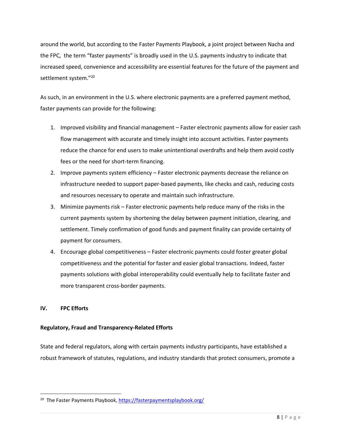around the world, but according to the Faster Payments Playbook, a joint project between Nacha and the FPC, the term "faster payments" is broadly used in the U.S. payments industry to indicate that increased speed, convenience and accessibility are essential features for the future of the payment and settlement system." 20

As such, in an environment in the U.S. where electronic payments are a preferred payment method, faster payments can provide for the following:

- 1. Improved visibility and financial management Faster electronic payments allow for easier cash flow management with accurate and timely insight into account activities. Faster payments reduce the chance for end users to make unintentional overdrafts and help them avoid costly fees or the need for short-term financing.
- 2. Improve payments system efficiency Faster electronic payments decrease the reliance on infrastructure needed to support paper-based payments, like checks and cash, reducing costs and resources necessary to operate and maintain such infrastructure.
- 3. Minimize payments risk Faster electronic payments help reduce many of the risks in the current payments system by shortening the delay between payment initiation, clearing, and settlement. Timely confirmation of good funds and payment finality can provide certainty of payment for consumers.
- 4. Encourage global competitiveness Faster electronic payments could foster greater global competitiveness and the potential for faster and easier global transactions. Indeed, faster payments solutions with global interoperability could eventually help to facilitate faster and more transparent cross-border payments.

## **IV. FPC Efforts**

#### **Regulatory, Fraud and Transparency-Related Efforts**

State and federal regulators, along with certain payments industry participants, have established a robust framework of statutes, regulations, and industry standards that protect consumers, promote a

<sup>&</sup>lt;sup>20</sup> The Faster Payments Playbook, <https://fasterpaymentsplaybook.org/>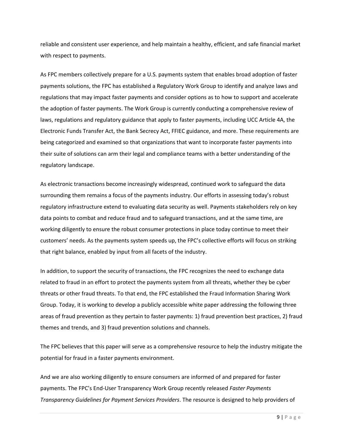reliable and consistent user experience, and help maintain a healthy, efficient, and safe financial market with respect to payments.

As FPC members collectively prepare for a U.S. payments system that enables broad adoption of faster payments solutions, the FPC has established a Regulatory Work Group to identify and analyze laws and regulations that may impact faster payments and consider options as to how to support and accelerate the adoption of faster payments. The Work Group is currently conducting a comprehensive review of laws, regulations and regulatory guidance that apply to faster payments, including UCC Article 4A, the Electronic Funds Transfer Act, the Bank Secrecy Act, FFIEC guidance, and more. These requirements are being categorized and examined so that organizations that want to incorporate faster payments into their suite of solutions can arm their legal and compliance teams with a better understanding of the regulatory landscape.

As electronic transactions become increasingly widespread, continued work to safeguard the data surrounding them remains a focus of the payments industry. Our efforts in assessing today's robust regulatory infrastructure extend to evaluating data security as well. Payments stakeholders rely on key data points to combat and reduce fraud and to safeguard transactions, and at the same time, are working diligently to ensure the robust consumer protections in place today continue to meet their customers' needs. As the payments system speeds up, the FPC's collective efforts will focus on striking that right balance, enabled by input from all facets of the industry.

In addition, to support the security of transactions, the FPC recognizes the need to exchange data related to fraud in an effort to protect the payments system from all threats, whether they be cyber threats or other fraud threats. To that end, the FPC established the Fraud Information Sharing Work Group. Today, it is working to develop a publicly accessible white paper addressing the following three areas of fraud prevention as they pertain to faster payments: 1) fraud prevention best practices, 2) fraud themes and trends, and 3) fraud prevention solutions and channels.

The FPC believes that this paper will serve as a comprehensive resource to help the industry mitigate the potential for fraud in a faster payments environment.

And we are also working diligently to ensure consumers are informed of and prepared for faster payments. The FPC's End-User Transparency Work Group recently released *Faster Payments Transparency Guidelines for Payment Services Providers*. The resource is designed to help providers of